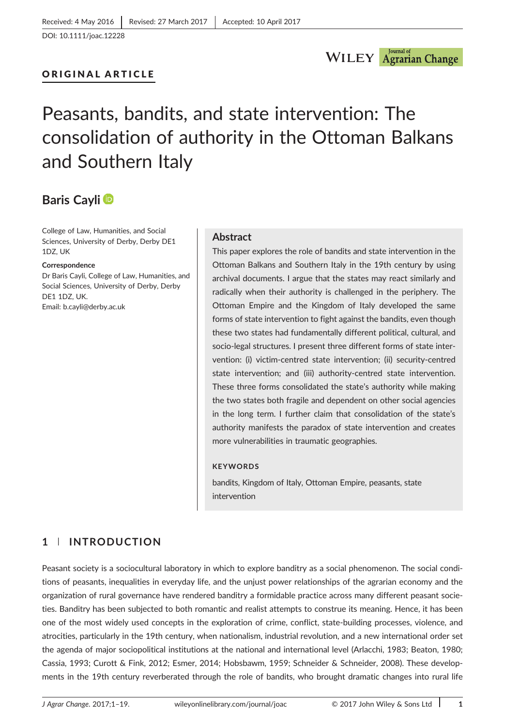### ORIGINAL ARTICLE

# Peasants, bandits, and state intervention: The consolidation of authority in the Ottoman Balkans and Southern Italy

# Baris Cayli<sup>D</sup>

College of Law, Humanities, and Social Sciences, University of Derby, Derby DE1 1DZ, UK

#### Correspondence

Dr Baris Cayli, College of Law, Humanities, and Social Sciences, University of Derby, Derby DE1 1DZ, UK. Email: [b.cayli@derby.ac.uk](mailto:b.cayli@derby.ac.uk)

### Abstract

This paper explores the role of bandits and state intervention in the Ottoman Balkans and Southern Italy in the 19th century by using archival documents. I argue that the states may react similarly and radically when their authority is challenged in the periphery. The Ottoman Empire and the Kingdom of Italy developed the same forms of state intervention to fight against the bandits, even though these two states had fundamentally different political, cultural, and socio-legal structures. I present three different forms of state intervention: (i) victim‐centred state intervention; (ii) security‐centred state intervention; and (iii) authority-centred state intervention. These three forms consolidated the state's authority while making the two states both fragile and dependent on other social agencies in the long term. I further claim that consolidation of the state's authority manifests the paradox of state intervention and creates more vulnerabilities in traumatic geographies.

### **KEYWORDS**

bandits, Kingdom of Italy, Ottoman Empire, peasants, state intervention

# 1 | INTRODUCTION

Peasant society is a sociocultural laboratory in which to explore banditry as a social phenomenon. The social conditions of peasants, inequalities in everyday life, and the unjust power relationships of the agrarian economy and the organization of rural governance have rendered banditry a formidable practice across many different peasant societies. Banditry has been subjected to both romantic and realist attempts to construe its meaning. Hence, it has been one of the most widely used concepts in the exploration of crime, conflict, state‐building processes, violence, and atrocities, particularly in the 19th century, when nationalism, industrial revolution, and a new international order set the agenda of major sociopolitical institutions at the national and international level (Arlacchi, 1983; Beaton, 1980; Cassia, 1993; Curott & Fink, 2012; Esmer, 2014; Hobsbawm, 1959; Schneider & Schneider, 2008). These developments in the 19th century reverberated through the role of bandits, who brought dramatic changes into rural life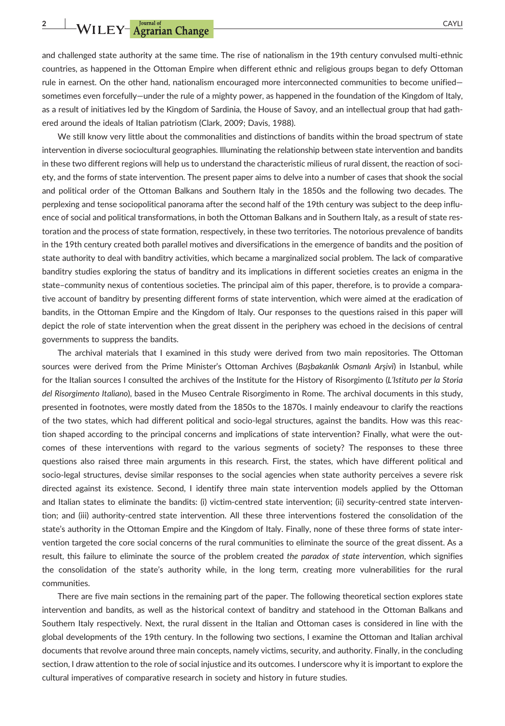$\frac{2}{\sqrt{2}}$  WILEY-Agrarian Change

and challenged state authority at the same time. The rise of nationalism in the 19th century convulsed multi‐ethnic countries, as happened in the Ottoman Empire when different ethnic and religious groups began to defy Ottoman rule in earnest. On the other hand, nationalism encouraged more interconnected communities to become unified sometimes even forcefully—under the rule of a mighty power, as happened in the foundation of the Kingdom of Italy, as a result of initiatives led by the Kingdom of Sardinia, the House of Savoy, and an intellectual group that had gathered around the ideals of Italian patriotism (Clark, 2009; Davis, 1988).

We still know very little about the commonalities and distinctions of bandits within the broad spectrum of state intervention in diverse sociocultural geographies. Illuminating the relationship between state intervention and bandits in these two different regions will help us to understand the characteristic milieus of rural dissent, the reaction of society, and the forms of state intervention. The present paper aims to delve into a number of cases that shook the social and political order of the Ottoman Balkans and Southern Italy in the 1850s and the following two decades. The perplexing and tense sociopolitical panorama after the second half of the 19th century was subject to the deep influence of social and political transformations, in both the Ottoman Balkans and in Southern Italy, as a result of state restoration and the process of state formation, respectively, in these two territories. The notorious prevalence of bandits in the 19th century created both parallel motives and diversifications in the emergence of bandits and the position of state authority to deal with banditry activities, which became a marginalized social problem. The lack of comparative banditry studies exploring the status of banditry and its implications in different societies creates an enigma in the state–community nexus of contentious societies. The principal aim of this paper, therefore, is to provide a comparative account of banditry by presenting different forms of state intervention, which were aimed at the eradication of bandits, in the Ottoman Empire and the Kingdom of Italy. Our responses to the questions raised in this paper will depict the role of state intervention when the great dissent in the periphery was echoed in the decisions of central governments to suppress the bandits.

The archival materials that I examined in this study were derived from two main repositories. The Ottoman sources were derived from the Prime Minister's Ottoman Archives (Başbakanlık Osmanlı Arşivi) in Istanbul, while for the Italian sources I consulted the archives of the Institute for the History of Risorgimento (L'Istituto per la Storia del Risorgimento Italiano), based in the Museo Centrale Risorgimento in Rome. The archival documents in this study, presented in footnotes, were mostly dated from the 1850s to the 1870s. I mainly endeavour to clarify the reactions of the two states, which had different political and socio-legal structures, against the bandits. How was this reaction shaped according to the principal concerns and implications of state intervention? Finally, what were the outcomes of these interventions with regard to the various segments of society? The responses to these three questions also raised three main arguments in this research. First, the states, which have different political and socio-legal structures, devise similar responses to the social agencies when state authority perceives a severe risk directed against its existence. Second, I identify three main state intervention models applied by the Ottoman and Italian states to eliminate the bandits: (i) victim-centred state intervention; (ii) security-centred state intervention; and (iii) authority‐centred state intervention. All these three interventions fostered the consolidation of the state's authority in the Ottoman Empire and the Kingdom of Italy. Finally, none of these three forms of state intervention targeted the core social concerns of the rural communities to eliminate the source of the great dissent. As a result, this failure to eliminate the source of the problem created the paradox of state intervention, which signifies the consolidation of the state's authority while, in the long term, creating more vulnerabilities for the rural communities.

There are five main sections in the remaining part of the paper. The following theoretical section explores state intervention and bandits, as well as the historical context of banditry and statehood in the Ottoman Balkans and Southern Italy respectively. Next, the rural dissent in the Italian and Ottoman cases is considered in line with the global developments of the 19th century. In the following two sections, I examine the Ottoman and Italian archival documents that revolve around three main concepts, namely victims, security, and authority. Finally, in the concluding section, I draw attention to the role of social injustice and its outcomes. I underscore why it is important to explore the cultural imperatives of comparative research in society and history in future studies.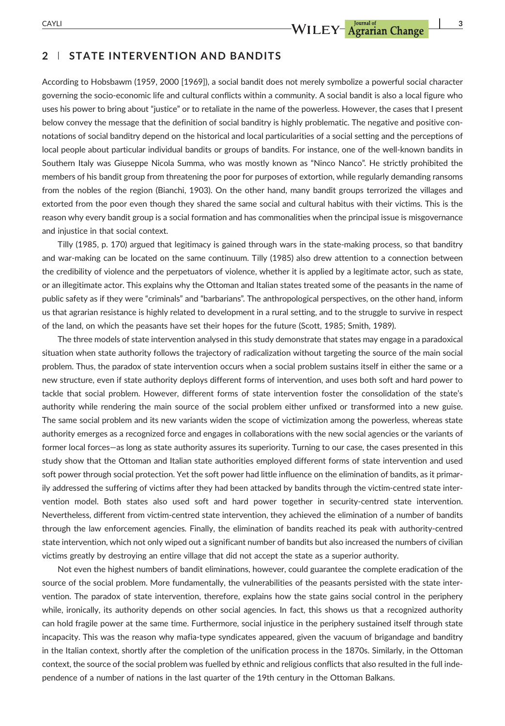### 2 | STATE INTERVENTION AND BANDITS

According to Hobsbawm (1959, 2000 [1969]), a social bandit does not merely symbolize a powerful social character governing the socio‐economic life and cultural conflicts within a community. A social bandit is also a local figure who uses his power to bring about "justice" or to retaliate in the name of the powerless. However, the cases that I present below convey the message that the definition of social banditry is highly problematic. The negative and positive connotations of social banditry depend on the historical and local particularities of a social setting and the perceptions of local people about particular individual bandits or groups of bandits. For instance, one of the well-known bandits in Southern Italy was Giuseppe Nicola Summa, who was mostly known as "Ninco Nanco". He strictly prohibited the members of his bandit group from threatening the poor for purposes of extortion, while regularly demanding ransoms from the nobles of the region (Bianchi, 1903). On the other hand, many bandit groups terrorized the villages and extorted from the poor even though they shared the same social and cultural habitus with their victims. This is the reason why every bandit group is a social formation and has commonalities when the principal issue is misgovernance and injustice in that social context.

Tilly (1985, p. 170) argued that legitimacy is gained through wars in the state‐making process, so that banditry and war‐making can be located on the same continuum. Tilly (1985) also drew attention to a connection between the credibility of violence and the perpetuators of violence, whether it is applied by a legitimate actor, such as state, or an illegitimate actor. This explains why the Ottoman and Italian states treated some of the peasants in the name of public safety as if they were "criminals" and "barbarians". The anthropological perspectives, on the other hand, inform us that agrarian resistance is highly related to development in a rural setting, and to the struggle to survive in respect of the land, on which the peasants have set their hopes for the future (Scott, 1985; Smith, 1989).

The three models of state intervention analysed in this study demonstrate that states may engage in a paradoxical situation when state authority follows the trajectory of radicalization without targeting the source of the main social problem. Thus, the paradox of state intervention occurs when a social problem sustains itself in either the same or a new structure, even if state authority deploys different forms of intervention, and uses both soft and hard power to tackle that social problem. However, different forms of state intervention foster the consolidation of the state's authority while rendering the main source of the social problem either unfixed or transformed into a new guise. The same social problem and its new variants widen the scope of victimization among the powerless, whereas state authority emerges as a recognized force and engages in collaborations with the new social agencies or the variants of former local forces—as long as state authority assures its superiority. Turning to our case, the cases presented in this study show that the Ottoman and Italian state authorities employed different forms of state intervention and used soft power through social protection. Yet the soft power had little influence on the elimination of bandits, as it primarily addressed the suffering of victims after they had been attacked by bandits through the victim‐centred state intervention model. Both states also used soft and hard power together in security-centred state intervention. Nevertheless, different from victim‐centred state intervention, they achieved the elimination of a number of bandits through the law enforcement agencies. Finally, the elimination of bandits reached its peak with authority‐centred state intervention, which not only wiped out a significant number of bandits but also increased the numbers of civilian victims greatly by destroying an entire village that did not accept the state as a superior authority.

Not even the highest numbers of bandit eliminations, however, could guarantee the complete eradication of the source of the social problem. More fundamentally, the vulnerabilities of the peasants persisted with the state intervention. The paradox of state intervention, therefore, explains how the state gains social control in the periphery while, ironically, its authority depends on other social agencies. In fact, this shows us that a recognized authority can hold fragile power at the same time. Furthermore, social injustice in the periphery sustained itself through state incapacity. This was the reason why mafia‐type syndicates appeared, given the vacuum of brigandage and banditry in the Italian context, shortly after the completion of the unification process in the 1870s. Similarly, in the Ottoman context, the source of the social problem was fuelled by ethnic and religious conflicts that also resulted in the full independence of a number of nations in the last quarter of the 19th century in the Ottoman Balkans.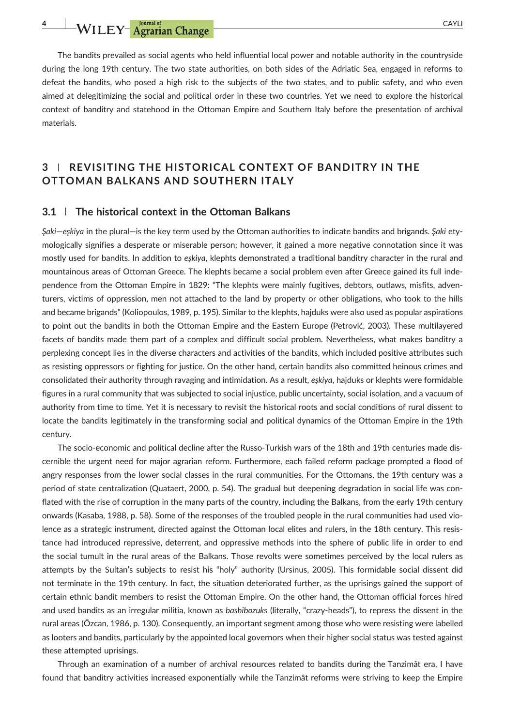The bandits prevailed as social agents who held influential local power and notable authority in the countryside during the long 19th century. The two state authorities, on both sides of the Adriatic Sea, engaged in reforms to defeat the bandits, who posed a high risk to the subjects of the two states, and to public safety, and who even aimed at delegitimizing the social and political order in these two countries. Yet we need to explore the historical context of banditry and statehood in the Ottoman Empire and Southern Italy before the presentation of archival materials.

# 3 | REVISITING THE HISTORICAL CONTEXT OF BANDITRY IN THE OTTOMAN BALKANS AND SOUTHERN ITALY

### 3.1 | The historical context in the Ottoman Balkans

Şaki—eşkiya in the plural—is the key term used by the Ottoman authorities to indicate bandits and brigands. Şaki etymologically signifies a desperate or miserable person; however, it gained a more negative connotation since it was mostly used for bandits. In addition to eşkiya, klephts demonstrated a traditional banditry character in the rural and mountainous areas of Ottoman Greece. The klephts became a social problem even after Greece gained its full independence from the Ottoman Empire in 1829: "The klephts were mainly fugitives, debtors, outlaws, misfits, adventurers, victims of oppression, men not attached to the land by property or other obligations, who took to the hills and became brigands" (Koliopoulos, 1989, p. 195). Similar to the klephts, hajduks were also used as popular aspirations to point out the bandits in both the Ottoman Empire and the Eastern Europe (Petrović, 2003). These multilayered facets of bandits made them part of a complex and difficult social problem. Nevertheless, what makes banditry a perplexing concept lies in the diverse characters and activities of the bandits, which included positive attributes such as resisting oppressors or fighting for justice. On the other hand, certain bandits also committed heinous crimes and consolidated their authority through ravaging and intimidation. As a result, eşkiya, hajduks or klephts were formidable figures in a rural community that was subjected to social injustice, public uncertainty, social isolation, and a vacuum of authority from time to time. Yet it is necessary to revisit the historical roots and social conditions of rural dissent to locate the bandits legitimately in the transforming social and political dynamics of the Ottoman Empire in the 19th century.

The socio-economic and political decline after the Russo-Turkish wars of the 18th and 19th centuries made discernible the urgent need for major agrarian reform. Furthermore, each failed reform package prompted a flood of angry responses from the lower social classes in the rural communities. For the Ottomans, the 19th century was a period of state centralization (Quataert, 2000, p. 54). The gradual but deepening degradation in social life was conflated with the rise of corruption in the many parts of the country, including the Balkans, from the early 19th century onwards (Kasaba, 1988, p. 58). Some of the responses of the troubled people in the rural communities had used violence as a strategic instrument, directed against the Ottoman local elites and rulers, in the 18th century. This resistance had introduced repressive, deterrent, and oppressive methods into the sphere of public life in order to end the social tumult in the rural areas of the Balkans. Those revolts were sometimes perceived by the local rulers as attempts by the Sultan's subjects to resist his "holy" authority (Ursinus, 2005). This formidable social dissent did not terminate in the 19th century. In fact, the situation deteriorated further, as the uprisings gained the support of certain ethnic bandit members to resist the Ottoman Empire. On the other hand, the Ottoman official forces hired and used bandits as an irregular militia, known as bashibozuks (literally, "crazy-heads"), to repress the dissent in the rural areas (Özcan, 1986, p. 130). Consequently, an important segment among those who were resisting were labelled as looters and bandits, particularly by the appointed local governors when their higher social status was tested against these attempted uprisings.

Through an examination of a number of archival resources related to bandits during the Tanzimât era, I have found that banditry activities increased exponentially while the Tanzimât reforms were striving to keep the Empire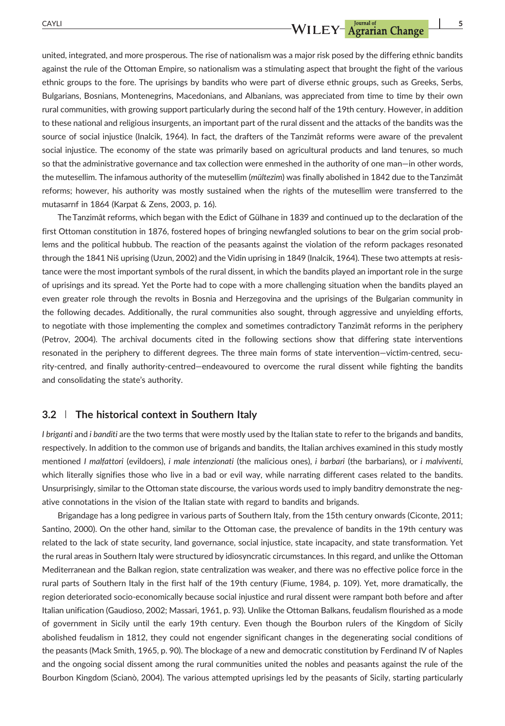united, integrated, and more prosperous. The rise of nationalism was a major risk posed by the differing ethnic bandits against the rule of the Ottoman Empire, so nationalism was a stimulating aspect that brought the fight of the various ethnic groups to the fore. The uprisings by bandits who were part of diverse ethnic groups, such as Greeks, Serbs, Bulgarians, Bosnians, Montenegrins, Macedonians, and Albanians, was appreciated from time to time by their own rural communities, with growing support particularly during the second half of the 19th century. However, in addition to these national and religious insurgents, an important part of the rural dissent and the attacks of the bandits was the source of social injustice (Inalcik, 1964). In fact, the drafters of the Tanzimât reforms were aware of the prevalent social injustice. The economy of the state was primarily based on agricultural products and land tenures, so much so that the administrative governance and tax collection were enmeshed in the authority of one man—in other words, the mutesellim. The infamous authority of the mutesellim (mültezim) was finally abolished in 1842 due to the Tanzimât reforms; however, his authority was mostly sustained when the rights of the mutesellim were transferred to the mutasarrıf in 1864 (Karpat & Zens, 2003, p. 16).

The Tanzimât reforms, which began with the Edict of Gülhane in 1839 and continued up to the declaration of the first Ottoman constitution in 1876, fostered hopes of bringing newfangled solutions to bear on the grim social problems and the political hubbub. The reaction of the peasants against the violation of the reform packages resonated through the 1841 Niš uprising (Uzun, 2002) and the Vidin uprising in 1849 (Inalcik, 1964). These two attempts at resistance were the most important symbols of the rural dissent, in which the bandits played an important role in the surge of uprisings and its spread. Yet the Porte had to cope with a more challenging situation when the bandits played an even greater role through the revolts in Bosnia and Herzegovina and the uprisings of the Bulgarian community in the following decades. Additionally, the rural communities also sought, through aggressive and unyielding efforts, to negotiate with those implementing the complex and sometimes contradictory Tanzimât reforms in the periphery (Petrov, 2004). The archival documents cited in the following sections show that differing state interventions resonated in the periphery to different degrees. The three main forms of state intervention—victim‐centred, security‐centred, and finally authority‐centred—endeavoured to overcome the rural dissent while fighting the bandits and consolidating the state's authority.

### 3.2 | The historical context in Southern Italy

I briganti and i banditi are the two terms that were mostly used by the Italian state to refer to the brigands and bandits, respectively. In addition to the common use of brigands and bandits, the Italian archives examined in this study mostly mentioned I malfattori (evildoers), i male intenzionati (the malicious ones), i barbari (the barbarians), or i malviventi, which literally signifies those who live in a bad or evil way, while narrating different cases related to the bandits. Unsurprisingly, similar to the Ottoman state discourse, the various words used to imply banditry demonstrate the negative connotations in the vision of the Italian state with regard to bandits and brigands.

Brigandage has a long pedigree in various parts of Southern Italy, from the 15th century onwards (Ciconte, 2011; Santino, 2000). On the other hand, similar to the Ottoman case, the prevalence of bandits in the 19th century was related to the lack of state security, land governance, social injustice, state incapacity, and state transformation. Yet the rural areas in Southern Italy were structured by idiosyncratic circumstances. In this regard, and unlike the Ottoman Mediterranean and the Balkan region, state centralization was weaker, and there was no effective police force in the rural parts of Southern Italy in the first half of the 19th century (Fiume, 1984, p. 109). Yet, more dramatically, the region deteriorated socio‐economically because social injustice and rural dissent were rampant both before and after Italian unification (Gaudioso, 2002; Massari, 1961, p. 93). Unlike the Ottoman Balkans, feudalism flourished as a mode of government in Sicily until the early 19th century. Even though the Bourbon rulers of the Kingdom of Sicily abolished feudalism in 1812, they could not engender significant changes in the degenerating social conditions of the peasants (Mack Smith, 1965, p. 90). The blockage of a new and democratic constitution by Ferdinand IV of Naples and the ongoing social dissent among the rural communities united the nobles and peasants against the rule of the Bourbon Kingdom (Scianò, 2004). The various attempted uprisings led by the peasants of Sicily, starting particularly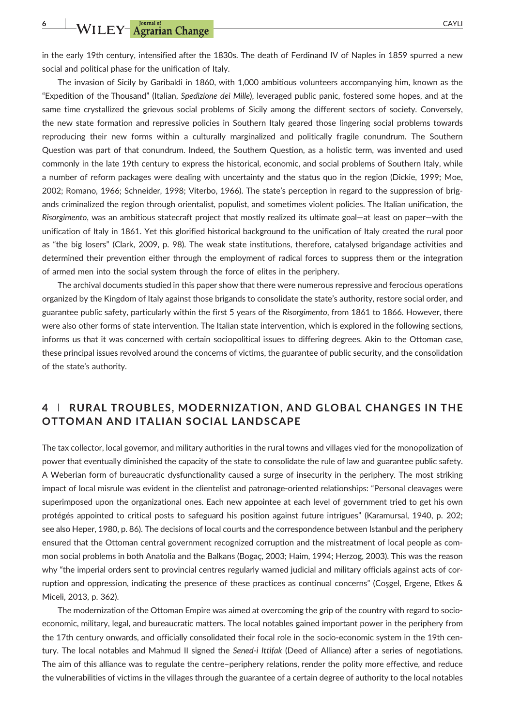# 6 CAYLI

in the early 19th century, intensified after the 1830s. The death of Ferdinand IV of Naples in 1859 spurred a new social and political phase for the unification of Italy.

The invasion of Sicily by Garibaldi in 1860, with 1,000 ambitious volunteers accompanying him, known as the "Expedition of the Thousand" (Italian, Spedizione dei Mille), leveraged public panic, fostered some hopes, and at the same time crystallized the grievous social problems of Sicily among the different sectors of society. Conversely, the new state formation and repressive policies in Southern Italy geared those lingering social problems towards reproducing their new forms within a culturally marginalized and politically fragile conundrum. The Southern Question was part of that conundrum. Indeed, the Southern Question, as a holistic term, was invented and used commonly in the late 19th century to express the historical, economic, and social problems of Southern Italy, while a number of reform packages were dealing with uncertainty and the status quo in the region (Dickie, 1999; Moe, 2002; Romano, 1966; Schneider, 1998; Viterbo, 1966). The state's perception in regard to the suppression of brigands criminalized the region through orientalist, populist, and sometimes violent policies. The Italian unification, the Risorgimento, was an ambitious statecraft project that mostly realized its ultimate goal—at least on paper—with the unification of Italy in 1861. Yet this glorified historical background to the unification of Italy created the rural poor as "the big losers" (Clark, 2009, p. 98). The weak state institutions, therefore, catalysed brigandage activities and determined their prevention either through the employment of radical forces to suppress them or the integration of armed men into the social system through the force of elites in the periphery.

The archival documents studied in this paper show that there were numerous repressive and ferocious operations organized by the Kingdom of Italy against those brigands to consolidate the state's authority, restore social order, and guarantee public safety, particularly within the first 5 years of the Risorgimento, from 1861 to 1866. However, there were also other forms of state intervention. The Italian state intervention, which is explored in the following sections, informs us that it was concerned with certain sociopolitical issues to differing degrees. Akin to the Ottoman case, these principal issues revolved around the concerns of victims, the guarantee of public security, and the consolidation of the state's authority.

### 4 | RURAL TROUBLES, MODERNIZATION, AND GLOBAL CHANGES IN THE OTTOMAN AND ITALIAN SOCIAL LANDSCAPE

The tax collector, local governor, and military authorities in the rural towns and villages vied for the monopolization of power that eventually diminished the capacity of the state to consolidate the rule of law and guarantee public safety. A Weberian form of bureaucratic dysfunctionality caused a surge of insecurity in the periphery. The most striking impact of local misrule was evident in the clientelist and patronage‐oriented relationships: "Personal cleavages were superimposed upon the organizational ones. Each new appointee at each level of government tried to get his own protégés appointed to critical posts to safeguard his position against future intrigues" (Karamursal, 1940, p. 202; see also Heper, 1980, p. 86). The decisions of local courts and the correspondence between Istanbul and the periphery ensured that the Ottoman central government recognized corruption and the mistreatment of local people as common social problems in both Anatolia and the Balkans (Bogaç, 2003; Haim, 1994; Herzog, 2003). This was the reason why "the imperial orders sent to provincial centres regularly warned judicial and military officials against acts of corruption and oppression, indicating the presence of these practices as continual concerns" (Coşgel, Ergene, Etkes & Miceli, 2013, p. 362).

The modernization of the Ottoman Empire was aimed at overcoming the grip of the country with regard to socio‐ economic, military, legal, and bureaucratic matters. The local notables gained important power in the periphery from the 17th century onwards, and officially consolidated their focal role in the socio-economic system in the 19th century. The local notables and Mahmud II signed the Sened-i Ittifak (Deed of Alliance) after a series of negotiations. The aim of this alliance was to regulate the centre–periphery relations, render the polity more effective, and reduce the vulnerabilities of victims in the villages through the guarantee of a certain degree of authority to the local notables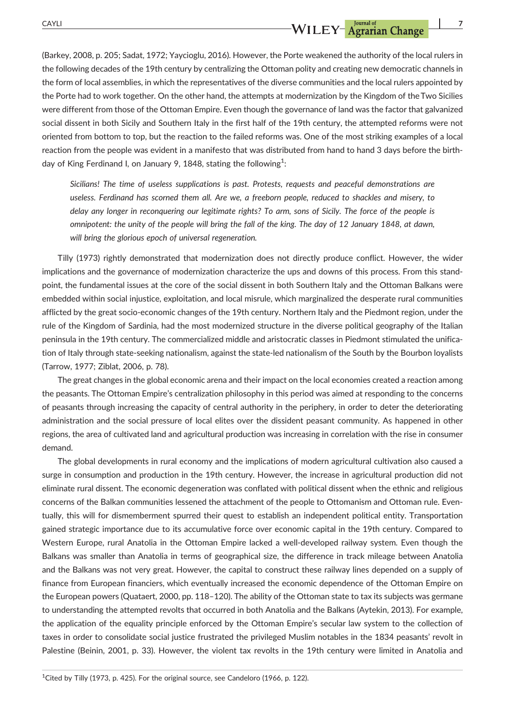(Barkey, 2008, p. 205; Sadat, 1972; Yaycioglu, 2016). However, the Porte weakened the authority of the local rulers in the following decades of the 19th century by centralizing the Ottoman polity and creating new democratic channels in the form of local assemblies, in which the representatives of the diverse communities and the local rulers appointed by the Porte had to work together. On the other hand, the attempts at modernization by the Kingdom of the Two Sicilies were different from those of the Ottoman Empire. Even though the governance of land was the factor that galvanized social dissent in both Sicily and Southern Italy in the first half of the 19th century, the attempted reforms were not oriented from bottom to top, but the reaction to the failed reforms was. One of the most striking examples of a local reaction from the people was evident in a manifesto that was distributed from hand to hand 3 days before the birthday of King Ferdinand I, on January 9, 1848, stating the following $^1$ :

Sicilians! The time of useless supplications is past. Protests, requests and peaceful demonstrations are useless. Ferdinand has scorned them all. Are we, a freeborn people, reduced to shackles and misery, to delay any longer in reconquering our legitimate rights? To arm, sons of Sicily. The force of the people is omnipotent: the unity of the people will bring the fall of the king. The day of 12 January 1848, at dawn, will bring the glorious epoch of universal regeneration.

Tilly (1973) rightly demonstrated that modernization does not directly produce conflict. However, the wider implications and the governance of modernization characterize the ups and downs of this process. From this standpoint, the fundamental issues at the core of the social dissent in both Southern Italy and the Ottoman Balkans were embedded within social injustice, exploitation, and local misrule, which marginalized the desperate rural communities afflicted by the great socio‐economic changes of the 19th century. Northern Italy and the Piedmont region, under the rule of the Kingdom of Sardinia, had the most modernized structure in the diverse political geography of the Italian peninsula in the 19th century. The commercialized middle and aristocratic classes in Piedmont stimulated the unification of Italy through state‐seeking nationalism, against the state‐led nationalism of the South by the Bourbon loyalists (Tarrow, 1977; Ziblat, 2006, p. 78).

The great changes in the global economic arena and their impact on the local economies created a reaction among the peasants. The Ottoman Empire's centralization philosophy in this period was aimed at responding to the concerns of peasants through increasing the capacity of central authority in the periphery, in order to deter the deteriorating administration and the social pressure of local elites over the dissident peasant community. As happened in other regions, the area of cultivated land and agricultural production was increasing in correlation with the rise in consumer demand.

The global developments in rural economy and the implications of modern agricultural cultivation also caused a surge in consumption and production in the 19th century. However, the increase in agricultural production did not eliminate rural dissent. The economic degeneration was conflated with political dissent when the ethnic and religious concerns of the Balkan communities lessened the attachment of the people to Ottomanism and Ottoman rule. Eventually, this will for dismemberment spurred their quest to establish an independent political entity. Transportation gained strategic importance due to its accumulative force over economic capital in the 19th century. Compared to Western Europe, rural Anatolia in the Ottoman Empire lacked a well-developed railway system. Even though the Balkans was smaller than Anatolia in terms of geographical size, the difference in track mileage between Anatolia and the Balkans was not very great. However, the capital to construct these railway lines depended on a supply of finance from European financiers, which eventually increased the economic dependence of the Ottoman Empire on the European powers (Quataert, 2000, pp. 118–120). The ability of the Ottoman state to tax its subjects was germane to understanding the attempted revolts that occurred in both Anatolia and the Balkans (Aytekin, 2013). For example, the application of the equality principle enforced by the Ottoman Empire's secular law system to the collection of taxes in order to consolidate social justice frustrated the privileged Muslim notables in the 1834 peasants' revolt in Palestine (Beinin, 2001, p. 33). However, the violent tax revolts in the 19th century were limited in Anatolia and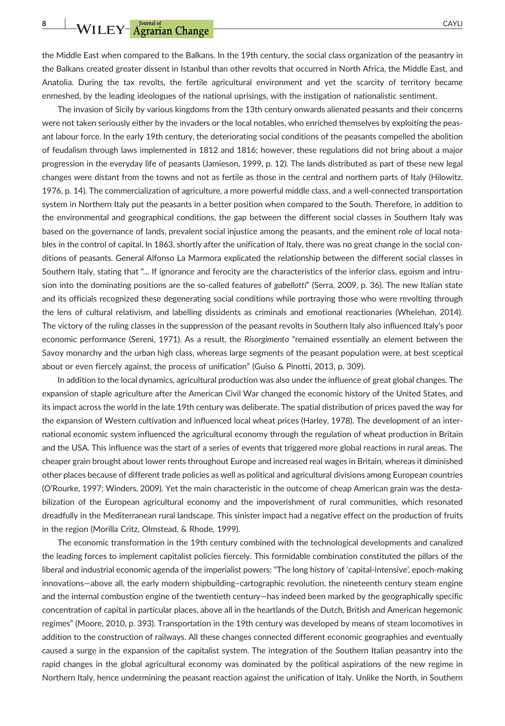the Middle East when compared to the Balkans. In the 19th century, the social class organization of the peasantry in the Balkans created greater dissent in Istanbul than other revolts that occurred in North Africa, the Middle East, and Anatolia. During the tax revolts, the fertile agricultural environment and yet the scarcity of territory became enmeshed, by the leading ideologues of the national uprisings, with the instigation of nationalistic sentiment.

The invasion of Sicily by various kingdoms from the 13th century onwards alienated peasants and their concerns were not taken seriously either by the invaders or the local notables, who enriched themselves by exploiting the peasant labour force. In the early 19th century, the deteriorating social conditions of the peasants compelled the abolition of feudalism through laws implemented in 1812 and 1816; however, these regulations did not bring about a major progression in the everyday life of peasants (Jamieson, 1999, p. 12). The lands distributed as part of these new legal changes were distant from the towns and not as fertile as those in the central and northern parts of Italy (Hilowitz, 1976, p. 14). The commercialization of agriculture, a more powerful middle class, and a well-connected transportation system in Northern Italy put the peasants in a better position when compared to the South. Therefore, in addition to the environmental and geographical conditions, the gap between the different social classes in Southern Italy was based on the governance of lands, prevalent social injustice among the peasants, and the eminent role of local notables in the control of capital. In 1863, shortly after the unification of Italy, there was no great change in the social conditions of peasants. General Alfonso La Marmora explicated the relationship between the different social classes in Southern Italy, stating that "… If ignorance and ferocity are the characteristics of the inferior class, egoism and intrusion into the dominating positions are the so-called features of *gabellotti*" (Serra, 2009, p. 36). The new Italian state and its officials recognized these degenerating social conditions while portraying those who were revolting through the lens of cultural relativism, and labelling dissidents as criminals and emotional reactionaries (Whelehan, 2014). The victory of the ruling classes in the suppression of the peasant revolts in Southern Italy also influenced Italy's poor economic performance (Sereni, 1971). As a result, the Risorgimento "remained essentially an element between the Savoy monarchy and the urban high class, whereas large segments of the peasant population were, at best sceptical about or even fiercely against, the process of unification" (Guiso & Pinotti, 2013, p. 309).

In addition to the local dynamics, agricultural production was also under the influence of great global changes. The expansion of staple agriculture after the American Civil War changed the economic history of the United States, and its impact across the world in the late 19th century was deliberate. The spatial distribution of prices paved the way for the expansion of Western cultivation and influenced local wheat prices (Harley, 1978). The development of an international economic system influenced the agricultural economy through the regulation of wheat production in Britain and the USA. This influence was the start of a series of events that triggered more global reactions in rural areas. The cheaper grain brought about lower rents throughout Europe and increased real wages in Britain, whereas it diminished other places because of different trade policies as well as political and agricultural divisions among European countries (O'Rourke, 1997; Winders, 2009). Yet the main characteristic in the outcome of cheap American grain was the destabilization of the European agricultural economy and the impoverishment of rural communities, which resonated dreadfully in the Mediterranean rural landscape. This sinister impact had a negative effect on the production of fruits in the region (Morilla Critz, Olmstead, & Rhode, 1999).

The economic transformation in the 19th century combined with the technological developments and canalized the leading forces to implement capitalist policies fiercely. This formidable combination constituted the pillars of the liberal and industrial economic agenda of the imperialist powers: "The long history of 'capital‐intensive', epoch‐making innovations—above all, the early modern shipbuilding–cartographic revolution, the nineteenth century steam engine and the internal combustion engine of the twentieth century—has indeed been marked by the geographically specific concentration of capital in particular places, above all in the heartlands of the Dutch, British and American hegemonic regimes" (Moore, 2010, p. 393). Transportation in the 19th century was developed by means of steam locomotives in addition to the construction of railways. All these changes connected different economic geographies and eventually caused a surge in the expansion of the capitalist system. The integration of the Southern Italian peasantry into the rapid changes in the global agricultural economy was dominated by the political aspirations of the new regime in Northern Italy, hence undermining the peasant reaction against the unification of Italy. Unlike the North, in Southern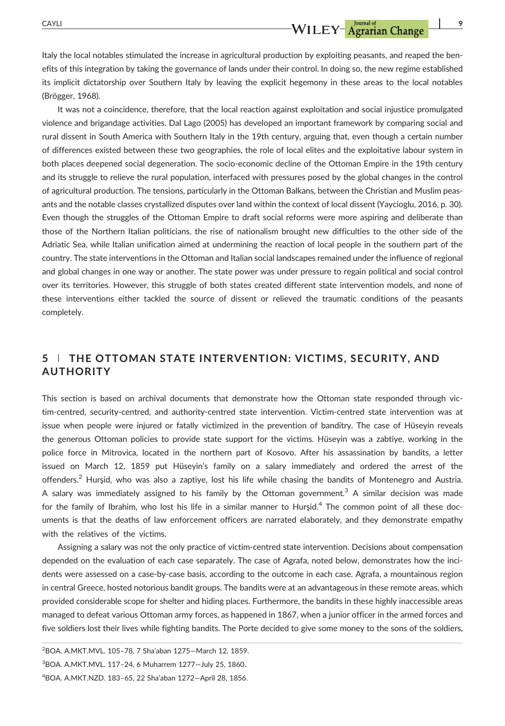Italy the local notables stimulated the increase in agricultural production by exploiting peasants, and reaped the benefits of this integration by taking the governance of lands under their control. In doing so, the new regime established its implicit dictatorship over Southern Italy by leaving the explicit hegemony in these areas to the local notables (Brögger, 1968).

It was not a coincidence, therefore, that the local reaction against exploitation and social injustice promulgated violence and brigandage activities. Dal Lago (2005) has developed an important framework by comparing social and rural dissent in South America with Southern Italy in the 19th century, arguing that, even though a certain number of differences existed between these two geographies, the role of local elites and the exploitative labour system in both places deepened social degeneration. The socio‐economic decline of the Ottoman Empire in the 19th century and its struggle to relieve the rural population, interfaced with pressures posed by the global changes in the control of agricultural production. The tensions, particularly in the Ottoman Balkans, between the Christian and Muslim peasants and the notable classes crystallized disputes over land within the context of local dissent (Yaycioglu, 2016, p. 30). Even though the struggles of the Ottoman Empire to draft social reforms were more aspiring and deliberate than those of the Northern Italian politicians, the rise of nationalism brought new difficulties to the other side of the Adriatic Sea, while Italian unification aimed at undermining the reaction of local people in the southern part of the country. The state interventions in the Ottoman and Italian social landscapes remained under the influence of regional and global changes in one way or another. The state power was under pressure to regain political and social control over its territories. However, this struggle of both states created different state intervention models, and none of these interventions either tackled the source of dissent or relieved the traumatic conditions of the peasants completely.

# 5 | THE OTTOMAN STATE INTERVENTION: VICTIMS, SECURITY, AND AUTHORITY

This section is based on archival documents that demonstrate how the Ottoman state responded through victim-centred, security-centred, and authority-centred state intervention. Victim-centred state intervention was at issue when people were injured or fatally victimized in the prevention of banditry. The case of Hüseyin reveals the generous Ottoman policies to provide state support for the victims. Hüseyin was a zabtiye, working in the police force in Mitrovica, located in the northern part of Kosovo. After his assassination by bandits, a letter issued on March 12, 1859 put Hüseyin's family on a salary immediately and ordered the arrest of the offenders.<sup>2</sup> Hurşid, who was also a zaptiye, lost his life while chasing the bandits of Montenegro and Austria. A salary was immediately assigned to his family by the Ottoman government.<sup>3</sup> A similar decision was made for the family of Ibrahim, who lost his life in a similar manner to Hurşid.<sup>4</sup> The common point of all these documents is that the deaths of law enforcement officers are narrated elaborately, and they demonstrate empathy with the relatives of the victims.

Assigning a salary was not the only practice of victim-centred state intervention. Decisions about compensation depended on the evaluation of each case separately. The case of Agrafa, noted below, demonstrates how the incidents were assessed on a case‐by‐case basis, according to the outcome in each case. Agrafa, a mountainous region in central Greece, hosted notorious bandit groups. The bandits were at an advantageous in these remote areas, which provided considerable scope for shelter and hiding places. Furthermore, the bandits in these highly inaccessible areas managed to defeat various Ottoman army forces, as happened in 1867, when a junior officer in the armed forces and five soldiers lost their lives while fighting bandits. The Porte decided to give some money to the sons of the soldiers,

<sup>2</sup> BOA. A.MKT.MVL. 105–78, 7 Sha'aban 1275—March 12, 1859.

<sup>3</sup> BOA. A.MKT.MVL. 117–24, 6 Muharrem 1277—July 25, 1860.

<sup>4</sup> BOA. A.MKT.NZD. 183–65, 22 Sha'aban 1272—April 28, 1856.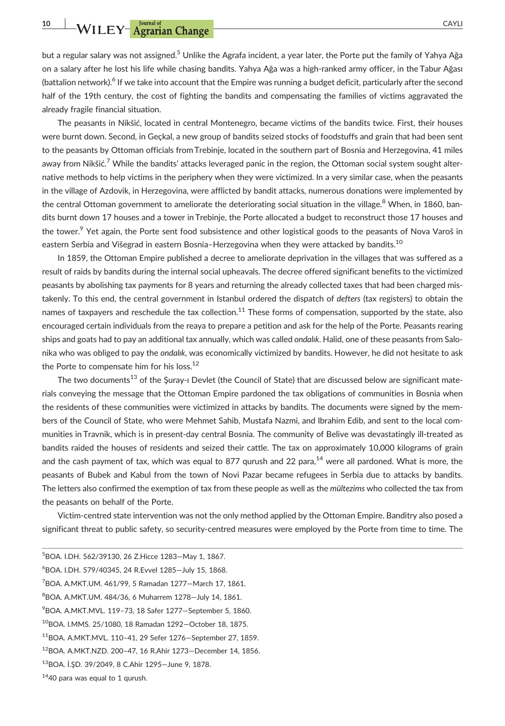but a regular salary was not assigned.<sup>5</sup> Unlike the Agrafa incident, a year later, the Porte put the family of Yahya Ağa on a salary after he lost his life while chasing bandits. Yahya Ağa was a high‐ranked army officer, in the Tabur Ağası (battalion network).<sup>6</sup> If we take into account that the Empire was running a budget deficit, particularly after the second half of the 19th century, the cost of fighting the bandits and compensating the families of victims aggravated the already fragile financial situation.

The peasants in Nikšić, located in central Montenegro, became victims of the bandits twice. First, their houses were burnt down. Second, in Geçkal, a new group of bandits seized stocks of foodstuffs and grain that had been sent to the peasants by Ottoman officials from Trebinje, located in the southern part of Bosnia and Herzegovina, 41 miles away from Nikšić.<sup>7</sup> While the bandits' attacks leveraged panic in the region, the Ottoman social system sought alternative methods to help victims in the periphery when they were victimized. In a very similar case, when the peasants in the village of Azdovik, in Herzegovina, were afflicted by bandit attacks, numerous donations were implemented by the central Ottoman government to ameliorate the deteriorating social situation in the village.<sup>8</sup> When, in 1860, bandits burnt down 17 houses and a tower in Trebinje, the Porte allocated a budget to reconstruct those 17 houses and the tower.<sup>9</sup> Yet again, the Porte sent food subsistence and other logistical goods to the peasants of Nova Varoš in eastern Serbia and Višegrad in eastern Bosnia–Herzegovina when they were attacked by bandits.<sup>10</sup>

In 1859, the Ottoman Empire published a decree to ameliorate deprivation in the villages that was suffered as a result of raids by bandits during the internal social upheavals. The decree offered significant benefits to the victimized peasants by abolishing tax payments for 8 years and returning the already collected taxes that had been charged mistakenly. To this end, the central government in Istanbul ordered the dispatch of defters (tax registers) to obtain the names of taxpayers and reschedule the tax collection.<sup>11</sup> These forms of compensation, supported by the state, also encouraged certain individuals from the reaya to prepare a petition and ask for the help of the Porte. Peasants rearing ships and goats had to pay an additional tax annually, which was called ondalık. Halid, one of these peasants from Salonika who was obliged to pay the ondalık, was economically victimized by bandits. However, he did not hesitate to ask the Porte to compensate him for his loss. $^{12}$ 

The two documents<sup>13</sup> of the Şuray-ı Devlet (the Council of State) that are discussed below are significant materials conveying the message that the Ottoman Empire pardoned the tax obligations of communities in Bosnia when the residents of these communities were victimized in attacks by bandits. The documents were signed by the members of the Council of State, who were Mehmet Sahib, Mustafa Nazmi, and Ibrahim Edib, and sent to the local communities in Travnik, which is in present‐day central Bosnia. The community of Belive was devastatingly ill‐treated as bandits raided the houses of residents and seized their cattle. The tax on approximately 10,000 kilograms of grain and the cash payment of tax, which was equal to 877 qurush and 22 para, $^{14}$  were all pardoned. What is more, the peasants of Bubek and Kabul from the town of Novi Pazar became refugees in Serbia due to attacks by bandits. The letters also confirmed the exemption of tax from these people as well as the mültezims who collected the tax from the peasants on behalf of the Porte.

Victim‐centred state intervention was not the only method applied by the Ottoman Empire. Banditry also posed a significant threat to public safety, so security‐centred measures were employed by the Porte from time to time. The

<sup>5</sup> BOA. I.DH. 562/39130, 26 Z.Hicce 1283—May 1, 1867.

<sup>6</sup> BOA. I.DH. 579/40345, 24 R.Evvel 1285—July 15, 1868.

<sup>7</sup> BOA. A.MKT.UM. 461/99, 5 Ramadan 1277—March 17, 1861.

<sup>8</sup> BOA. A.MKT.UM. 484/36, 6 Muharrem 1278—July 14, 1861.

<sup>9</sup> BOA. A.MKT.MVL. 119–73, 18 Safer 1277—September 5, 1860.

<sup>10</sup>BOA. I.MMS. 25/1080, 18 Ramadan 1292—October 18, 1875.

<sup>11</sup>BOA. A.MKT.MVL. 110–41, 29 Sefer 1276—September 27, 1859.

<sup>12</sup>BOA. A.MKT.NZD. 200–47, 16 R.Ahir 1273—December 14, 1856.

<sup>13</sup>BOA. İ.ŞD. 39/2049, 8 C.Ahir 1295—June 9, 1878.

 $1440$  para was equal to 1 qurush.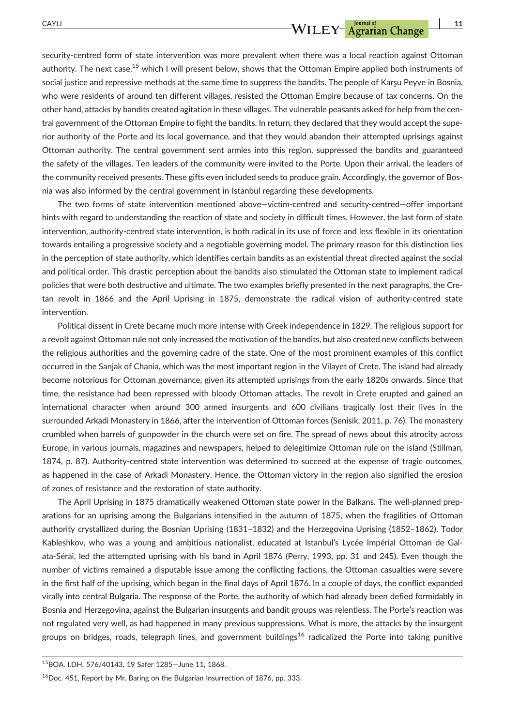security-centred form of state intervention was more prevalent when there was a local reaction against Ottoman authority. The next case,<sup>15</sup> which I will present below, shows that the Ottoman Empire applied both instruments of social justice and repressive methods at the same time to suppress the bandits. The people of Karsu Peyve in Bosnia, who were residents of around ten different villages, resisted the Ottoman Empire because of tax concerns. On the other hand, attacks by bandits created agitation in these villages. The vulnerable peasants asked for help from the central government of the Ottoman Empire to fight the bandits. In return, they declared that they would accept the superior authority of the Porte and its local governance, and that they would abandon their attempted uprisings against Ottoman authority. The central government sent armies into this region, suppressed the bandits and guaranteed the safety of the villages. Ten leaders of the community were invited to the Porte. Upon their arrival, the leaders of the community received presents. These gifts even included seeds to produce grain. Accordingly, the governor of Bosnia was also informed by the central government in Istanbul regarding these developments.

The two forms of state intervention mentioned above—victim‐centred and security‐centred—offer important hints with regard to understanding the reaction of state and society in difficult times. However, the last form of state intervention, authority‐centred state intervention, is both radical in its use of force and less flexible in its orientation towards entailing a progressive society and a negotiable governing model. The primary reason for this distinction lies in the perception of state authority, which identifies certain bandits as an existential threat directed against the social and political order. This drastic perception about the bandits also stimulated the Ottoman state to implement radical policies that were both destructive and ultimate. The two examples briefly presented in the next paragraphs, the Cretan revolt in 1866 and the April Uprising in 1875, demonstrate the radical vision of authority-centred state intervention.

Political dissent in Crete became much more intense with Greek independence in 1829. The religious support for a revolt against Ottoman rule not only increased the motivation of the bandits, but also created new conflicts between the religious authorities and the governing cadre of the state. One of the most prominent examples of this conflict occurred in the Sanjak of Chania, which was the most important region in the Vilayet of Crete. The island had already become notorious for Ottoman governance, given its attempted uprisings from the early 1820s onwards. Since that time, the resistance had been repressed with bloody Ottoman attacks. The revolt in Crete erupted and gained an international character when around 300 armed insurgents and 600 civilians tragically lost their lives in the surrounded Arkadi Monastery in 1866, after the intervention of Ottoman forces (Senisik, 2011, p. 76). The monastery crumbled when barrels of gunpowder in the church were set on fire. The spread of news about this atrocity across Europe, in various journals, magazines and newspapers, helped to delegitimize Ottoman rule on the island (Stillman, 1874, p. 87). Authority-centred state intervention was determined to succeed at the expense of tragic outcomes, as happened in the case of Arkadi Monastery. Hence, the Ottoman victory in the region also signified the erosion of zones of resistance and the restoration of state authority.

The April Uprising in 1875 dramatically weakened Ottoman state power in the Balkans. The well‐planned preparations for an uprising among the Bulgarians intensified in the autumn of 1875, when the fragilities of Ottoman authority crystallized during the Bosnian Uprising (1831–1832) and the Herzegovina Uprising (1852–1862). Todor Kableshkov, who was a young and ambitious nationalist, educated at Istanbul's Lycée Impérial Ottoman de Galata‐Sérai, led the attempted uprising with his band in April 1876 (Perry, 1993, pp. 31 and 245). Even though the number of victims remained a disputable issue among the conflicting factions, the Ottoman casualties were severe in the first half of the uprising, which began in the final days of April 1876. In a couple of days, the conflict expanded virally into central Bulgaria. The response of the Porte, the authority of which had already been defied formidably in Bosnia and Herzegovina, against the Bulgarian insurgents and bandit groups was relentless. The Porte's reaction was not regulated very well, as had happened in many previous suppressions. What is more, the attacks by the insurgent groups on bridges, roads, telegraph lines, and government buildings<sup>16</sup> radicalized the Porte into taking punitive

<sup>15</sup>BOA. I.DH. 576/40143, 19 Safer 1285—June 11, 1868.

 $16$ Doc. 451, Report by Mr. Baring on the Bulgarian Insurrection of 1876, pp. 333.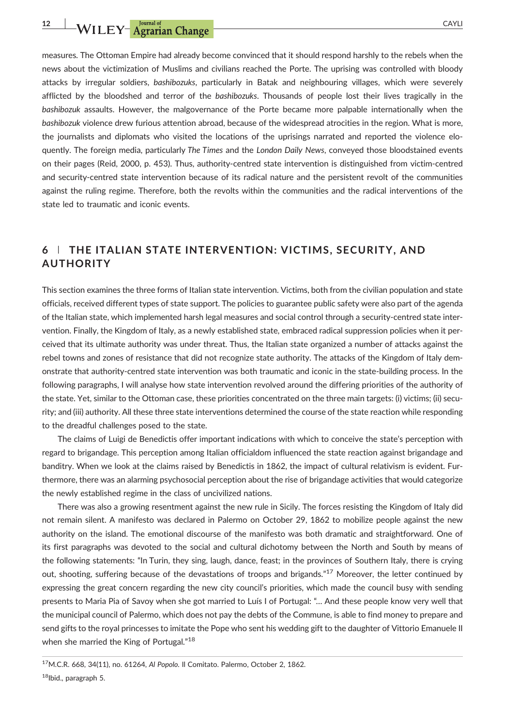measures. The Ottoman Empire had already become convinced that it should respond harshly to the rebels when the news about the victimization of Muslims and civilians reached the Porte. The uprising was controlled with bloody attacks by irregular soldiers, bashibozuks, particularly in Batak and neighbouring villages, which were severely afflicted by the bloodshed and terror of the bashibozuks. Thousands of people lost their lives tragically in the bashibozuk assaults. However, the malgovernance of the Porte became more palpable internationally when the bashibozuk violence drew furious attention abroad, because of the widespread atrocities in the region. What is more, the journalists and diplomats who visited the locations of the uprisings narrated and reported the violence eloquently. The foreign media, particularly The Times and the London Daily News, conveyed those bloodstained events on their pages (Reid, 2000, p. 453). Thus, authority‐centred state intervention is distinguished from victim‐centred and security‐centred state intervention because of its radical nature and the persistent revolt of the communities against the ruling regime. Therefore, both the revolts within the communities and the radical interventions of the state led to traumatic and iconic events.

# 6 | THE ITALIAN STATE INTERVENTION: VICTIMS, SECURITY, AND **AUTHORITY**

This section examines the three forms of Italian state intervention. Victims, both from the civilian population and state officials, received different types of state support. The policies to guarantee public safety were also part of the agenda of the Italian state, which implemented harsh legal measures and social control through a security‐centred state intervention. Finally, the Kingdom of Italy, as a newly established state, embraced radical suppression policies when it perceived that its ultimate authority was under threat. Thus, the Italian state organized a number of attacks against the rebel towns and zones of resistance that did not recognize state authority. The attacks of the Kingdom of Italy demonstrate that authority‐centred state intervention was both traumatic and iconic in the state‐building process. In the following paragraphs, I will analyse how state intervention revolved around the differing priorities of the authority of the state. Yet, similar to the Ottoman case, these priorities concentrated on the three main targets: (i) victims; (ii) security; and (iii) authority. All these three state interventions determined the course of the state reaction while responding to the dreadful challenges posed to the state.

The claims of Luigi de Benedictis offer important indications with which to conceive the state's perception with regard to brigandage. This perception among Italian officialdom influenced the state reaction against brigandage and banditry. When we look at the claims raised by Benedictis in 1862, the impact of cultural relativism is evident. Furthermore, there was an alarming psychosocial perception about the rise of brigandage activities that would categorize the newly established regime in the class of uncivilized nations.

There was also a growing resentment against the new rule in Sicily. The forces resisting the Kingdom of Italy did not remain silent. A manifesto was declared in Palermo on October 29, 1862 to mobilize people against the new authority on the island. The emotional discourse of the manifesto was both dramatic and straightforward. One of its first paragraphs was devoted to the social and cultural dichotomy between the North and South by means of the following statements: "In Turin, they sing, laugh, dance, feast; in the provinces of Southern Italy, there is crying out, shooting, suffering because of the devastations of troops and brigands."<sup>17</sup> Moreover, the letter continued by expressing the great concern regarding the new city council's priorities, which made the council busy with sending presents to Maria Pia of Savoy when she got married to Luís I of Portugal: "… And these people know very well that the municipal council of Palermo, which does not pay the debts of the Commune, is able to find money to prepare and send gifts to the royal princesses to imitate the Pope who sent his wedding gift to the daughter of Vittorio Emanuele II when she married the King of Portugal."<sup>18</sup>

<sup>17</sup>M.C.R. 668, 34(11), no. 61264, Al Popolo. Il Comitato. Palermo, October 2, 1862. 18Ibid., paragraph 5.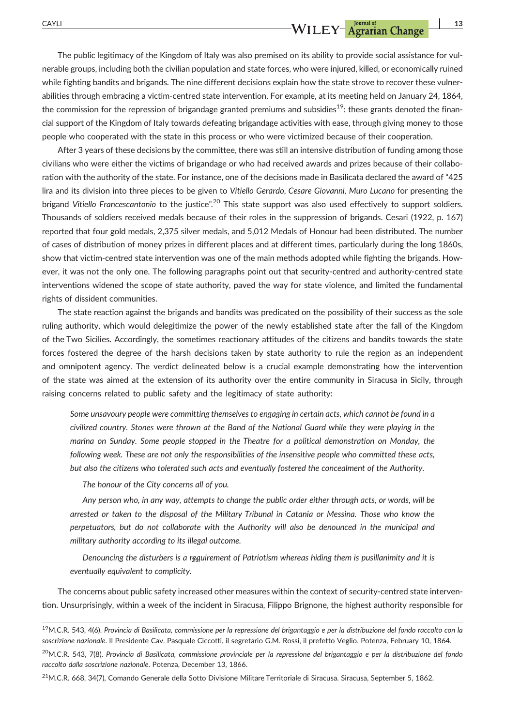# The public legitimacy of the Kingdom of Italy was also premised on its ability to provide social assistance for vulnerable groups, including both the civilian population and state forces, who were injured, killed, or economically ruined while fighting bandits and brigands. The nine different decisions explain how the state strove to recover these vulnerabilities through embracing a victim‐centred state intervention. For example, at its meeting held on January 24, 1864, the commission for the repression of brigandage granted premiums and subsidies<sup>19</sup>: these grants denoted the financial support of the Kingdom of Italy towards defeating brigandage activities with ease, through giving money to those people who cooperated with the state in this process or who were victimized because of their cooperation.

After 3 years of these decisions by the committee, there was still an intensive distribution of funding among those civilians who were either the victims of brigandage or who had received awards and prizes because of their collaboration with the authority of the state. For instance, one of the decisions made in Basilicata declared the award of "425 lira and its division into three pieces to be given to Vitiello Gerardo, Cesare Giovanni, Muro Lucano for presenting the brigand Vitiello Francescantonio to the justice".<sup>20</sup> This state support was also used effectively to support soldiers. Thousands of soldiers received medals because of their roles in the suppression of brigands. Cesari (1922, p. 167) reported that four gold medals, 2,375 silver medals, and 5,012 Medals of Honour had been distributed. The number of cases of distribution of money prizes in different places and at different times, particularly during the long 1860s, show that victim‐centred state intervention was one of the main methods adopted while fighting the brigands. However, it was not the only one. The following paragraphs point out that security‐centred and authority‐centred state interventions widened the scope of state authority, paved the way for state violence, and limited the fundamental rights of dissident communities.

The state reaction against the brigands and bandits was predicated on the possibility of their success as the sole ruling authority, which would delegitimize the power of the newly established state after the fall of the Kingdom of the Two Sicilies. Accordingly, the sometimes reactionary attitudes of the citizens and bandits towards the state forces fostered the degree of the harsh decisions taken by state authority to rule the region as an independent and omnipotent agency. The verdict delineated below is a crucial example demonstrating how the intervention of the state was aimed at the extension of its authority over the entire community in Siracusa in Sicily, through raising concerns related to public safety and the legitimacy of state authority:

Some unsavoury people were committing themselves to engaging in certain acts, which cannot be found in a civilized country. Stones were thrown at the Band of the National Guard while they were playing in the marina on Sunday. Some people stopped in the Theatre for a political demonstration on Monday, the following week. These are not only the responsibilities of the insensitive people who committed these acts, but also the citizens who tolerated such acts and eventually fostered the concealment of the Authority.

The honour of the City concerns all of you.

Any person who, in any way, attempts to change the public order either through acts, or words, will be arrested or taken to the disposal of the Military Tribunal in Catania or Messina. Those who know the perpetuators, but do not collaborate with the Authority will also be denounced in the municipal and military authority according to its illegal outcome.

Denouncing the disturbers is a r<u>eq</u>uirement of Patriotism whereas hiding them is pusillanimity and it is eventually equivalent to complicity.

The concerns about public safety increased other measures within the context of security‐centred state intervention. Unsurprisingly, within a week of the incident in Siracusa, Filippo Brignone, the highest authority responsible for

<sup>&</sup>lt;sup>19</sup>M.C.R. 543, 4(6). Provincia di Basilicata, commissione per la repressione del brigantaggio e per la distribuzione del fondo raccolto con la soscrizione nazionale. Il Presidente Cav. Pasquale Ciccotti, il segretario G.M. Rossi, il prefetto Veglio. Potenza, February 10, 1864.

<sup>&</sup>lt;sup>20</sup>M.C.R. 543, 7(8). Provincia di Basilicata, commissione provinciale per la repressione del brigantaggio e per la distribuzione del fondo raccolto dalla soscrizione nazionale. Potenza, December 13, 1866.

<sup>21</sup>M.C.R. 668, 34(7), Comando Generale della Sotto Divisione Militare Territoriale di Siracusa. Siracusa, September 5, 1862.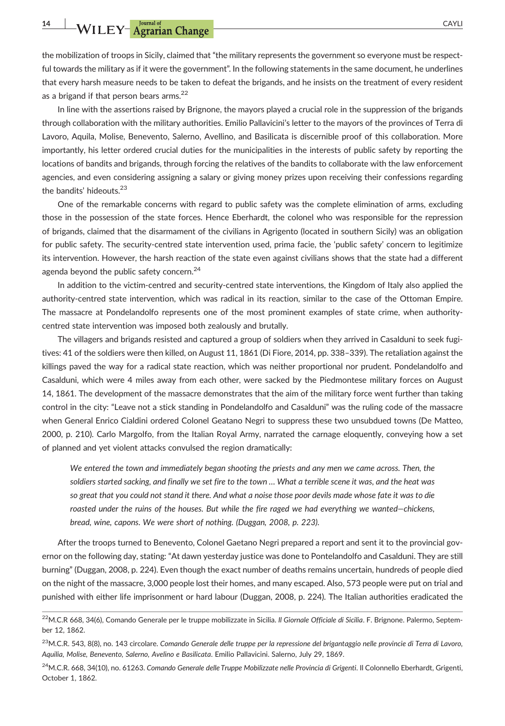the mobilization of troops in Sicily, claimed that "the military represents the government so everyone must be respectful towards the military as if it were the government". In the following statements in the same document, he underlines that every harsh measure needs to be taken to defeat the brigands, and he insists on the treatment of every resident as a brigand if that person bears arms.<sup>22</sup>

In line with the assertions raised by Brignone, the mayors played a crucial role in the suppression of the brigands through collaboration with the military authorities. Emilio Pallavicini's letter to the mayors of the provinces of Terra di Lavoro, Aquila, Molise, Benevento, Salerno, Avellino, and Basilicata is discernible proof of this collaboration. More importantly, his letter ordered crucial duties for the municipalities in the interests of public safety by reporting the locations of bandits and brigands, through forcing the relatives of the bandits to collaborate with the law enforcement agencies, and even considering assigning a salary or giving money prizes upon receiving their confessions regarding the bandits' hideouts.<sup>23</sup>

One of the remarkable concerns with regard to public safety was the complete elimination of arms, excluding those in the possession of the state forces. Hence Eberhardt, the colonel who was responsible for the repression of brigands, claimed that the disarmament of the civilians in Agrigento (located in southern Sicily) was an obligation for public safety. The security-centred state intervention used, prima facie, the 'public safety' concern to legitimize its intervention. However, the harsh reaction of the state even against civilians shows that the state had a different agenda beyond the public safety concern.<sup>24</sup>

In addition to the victim‐centred and security‐centred state interventions, the Kingdom of Italy also applied the authority‐centred state intervention, which was radical in its reaction, similar to the case of the Ottoman Empire. The massacre at Pondelandolfo represents one of the most prominent examples of state crime, when authority‐ centred state intervention was imposed both zealously and brutally.

The villagers and brigands resisted and captured a group of soldiers when they arrived in Casalduni to seek fugitives: 41 of the soldiers were then killed, on August 11, 1861 (Di Fiore, 2014, pp. 338–339). The retaliation against the killings paved the way for a radical state reaction, which was neither proportional nor prudent. Pondelandolfo and Casalduni, which were 4 miles away from each other, were sacked by the Piedmontese military forces on August 14, 1861. The development of the massacre demonstrates that the aim of the military force went further than taking control in the city: "Leave not a stick standing in Pondelandolfo and Casalduni" was the ruling code of the massacre when General Enrico Cialdini ordered Colonel Geatano Negri to suppress these two unsubdued towns (De Matteo, 2000, p. 210). Carlo Margolfo, from the Italian Royal Army, narrated the carnage eloquently, conveying how a set of planned and yet violent attacks convulsed the region dramatically:

We entered the town and immediately began shooting the priests and any men we came across. Then, the soldiers started sacking, and finally we set fire to the town … What a terrible scene it was, and the heat was so great that you could not stand it there. And what a noise those poor devils made whose fate it was to die roasted under the ruins of the houses. But while the fire raged we had everything we wanted—chickens, bread, wine, capons. We were short of nothing. (Duggan, 2008, p. 223).

After the troops turned to Benevento, Colonel Gaetano Negri prepared a report and sent it to the provincial governor on the following day, stating: "At dawn yesterday justice was done to Pontelandolfo and Casalduni. They are still burning" (Duggan, 2008, p. 224). Even though the exact number of deaths remains uncertain, hundreds of people died on the night of the massacre, 3,000 people lost their homes, and many escaped. Also, 573 people were put on trial and punished with either life imprisonment or hard labour (Duggan, 2008, p. 224). The Italian authorities eradicated the

<sup>&</sup>lt;sup>22</sup>M.C.R 668, 34(6), Comando Generale per le truppe mobilizzate in Sicilia. Il Giornale Officiale di Sicilia. F. Brignone. Palermo, September 12, 1862.

 $^{23}$ M.C.R. 543, 8(8), no. 143 circolare. Comando Generale delle truppe per la repressione del brigantaggio nelle provincie di Terra di Lavoro, Aquilia, Molise, Benevento, Salerno, Avelino e Basilicata. Emilio Pallavicini. Salerno, July 29, 1869.

<sup>&</sup>lt;sup>24</sup>M.C.R. 668. 34(10), no. 61263. Comando Generale delle Truppe Mobilizzate nelle Provincia di Grigenti, Il Colonnello Eberhardt, Grigenti, October 1, 1862.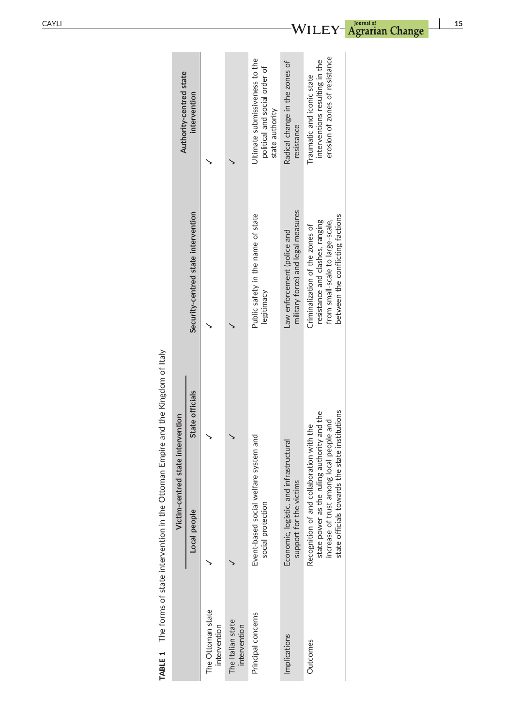|                                   |                                          | lictim-centred state intervention |                                     | Authority-centred state        |
|-----------------------------------|------------------------------------------|-----------------------------------|-------------------------------------|--------------------------------|
|                                   | Local people                             | State officials                   | Security-centred state intervention | intervention                   |
| The Ottoman state<br>intervention |                                          |                                   |                                     |                                |
| The Italian state<br>intervention |                                          |                                   |                                     |                                |
| Principal concerns                | social welfare system and<br>Event-based |                                   | Public safety in the name of state  | Ultimate submissiveness to the |

social protection

social protection

Implications Economic, logistic, and infrastructural

Implications

Economic, logistic, and infrastructural support for the victims

support for the victims

Outcomes Recognition of and collaboration with the

Outcomes

state power as the ruling authority and the increase of trust among local people and state officials towards the state institutions

state officials towards the state institutions state power as the ruling authority and the increase of trust among local people and Recognition of and collaboration with the

legitimacy

Law enforcement (police and military force) and legal measures

aw enforcement (police and

military force) and legal measures

Criminalization of the zones of resistance and clashes, ranging from small‐scale to large‐scale, between the conflicting factions

from small-scale to large-scale,<br>between the conflicting factions resistance and clashes, ranging Criminalization of the zones of

political and social order of

political and social order of

state authority

state authority

Radical change in the zones of

Radical change in the zones of

resistance

resistance

Traumatic and iconic state interventions resulting in the erosion of zones of resistance

Traumatic and iconic state

| $\frac{1}{2}$                  |
|--------------------------------|
|                                |
| ١                              |
| $\vdots$                       |
|                                |
| $\ddot{\phantom{0}}$<br>l<br>I |
| Ó                              |
| ומות ביות                      |
|                                |
| 1                              |
|                                |
|                                |
|                                |
|                                |
| i<br>I                         |
| ł<br>ו<br>ו                    |

erosion of zones of resistance

interventions resulting in the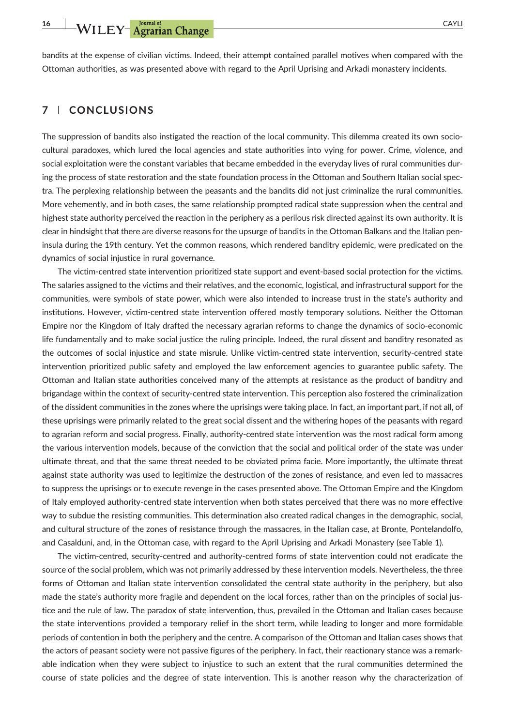bandits at the expense of civilian victims. Indeed, their attempt contained parallel motives when compared with the Ottoman authorities, as was presented above with regard to the April Uprising and Arkadi monastery incidents.

# 7 | CONCLUSIONS

The suppression of bandits also instigated the reaction of the local community. This dilemma created its own sociocultural paradoxes, which lured the local agencies and state authorities into vying for power. Crime, violence, and social exploitation were the constant variables that became embedded in the everyday lives of rural communities during the process of state restoration and the state foundation process in the Ottoman and Southern Italian social spectra. The perplexing relationship between the peasants and the bandits did not just criminalize the rural communities. More vehemently, and in both cases, the same relationship prompted radical state suppression when the central and highest state authority perceived the reaction in the periphery as a perilous risk directed against its own authority. It is clear in hindsight that there are diverse reasons for the upsurge of bandits in the Ottoman Balkans and the Italian peninsula during the 19th century. Yet the common reasons, which rendered banditry epidemic, were predicated on the dynamics of social injustice in rural governance.

The victim-centred state intervention prioritized state support and event-based social protection for the victims. The salaries assigned to the victims and their relatives, and the economic, logistical, and infrastructural support for the communities, were symbols of state power, which were also intended to increase trust in the state's authority and institutions. However, victim‐centred state intervention offered mostly temporary solutions. Neither the Ottoman Empire nor the Kingdom of Italy drafted the necessary agrarian reforms to change the dynamics of socio‐economic life fundamentally and to make social justice the ruling principle. Indeed, the rural dissent and banditry resonated as the outcomes of social injustice and state misrule. Unlike victim-centred state intervention, security-centred state intervention prioritized public safety and employed the law enforcement agencies to guarantee public safety. The Ottoman and Italian state authorities conceived many of the attempts at resistance as the product of banditry and brigandage within the context of security‐centred state intervention. This perception also fostered the criminalization of the dissident communities in the zones where the uprisings were taking place. In fact, an important part, if not all, of these uprisings were primarily related to the great social dissent and the withering hopes of the peasants with regard to agrarian reform and social progress. Finally, authority-centred state intervention was the most radical form among the various intervention models, because of the conviction that the social and political order of the state was under ultimate threat, and that the same threat needed to be obviated prima facie. More importantly, the ultimate threat against state authority was used to legitimize the destruction of the zones of resistance, and even led to massacres to suppress the uprisings or to execute revenge in the cases presented above. The Ottoman Empire and the Kingdom of Italy employed authority‐centred state intervention when both states perceived that there was no more effective way to subdue the resisting communities. This determination also created radical changes in the demographic, social, and cultural structure of the zones of resistance through the massacres, in the Italian case, at Bronte, Pontelandolfo, and Casalduni, and, in the Ottoman case, with regard to the April Uprising and Arkadi Monastery (see Table 1).

The victim‐centred, security‐centred and authority‐centred forms of state intervention could not eradicate the source of the social problem, which was not primarily addressed by these intervention models. Nevertheless, the three forms of Ottoman and Italian state intervention consolidated the central state authority in the periphery, but also made the state's authority more fragile and dependent on the local forces, rather than on the principles of social justice and the rule of law. The paradox of state intervention, thus, prevailed in the Ottoman and Italian cases because the state interventions provided a temporary relief in the short term, while leading to longer and more formidable periods of contention in both the periphery and the centre. A comparison of the Ottoman and Italian cases shows that the actors of peasant society were not passive figures of the periphery. In fact, their reactionary stance was a remarkable indication when they were subject to injustice to such an extent that the rural communities determined the course of state policies and the degree of state intervention. This is another reason why the characterization of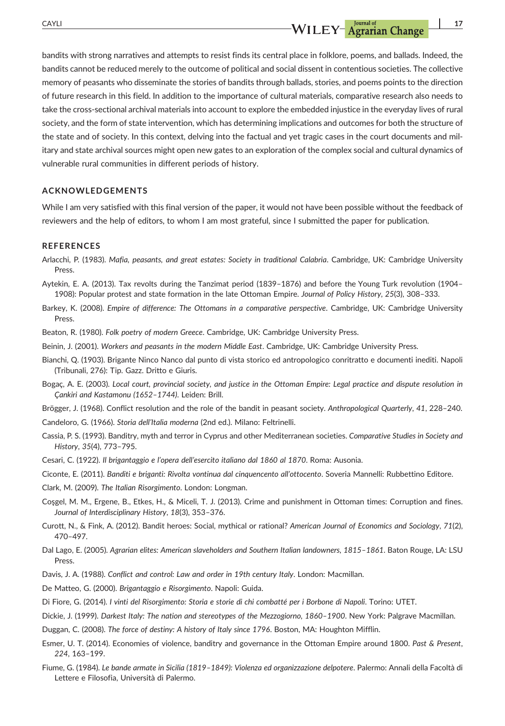bandits with strong narratives and attempts to resist finds its central place in folklore, poems, and ballads. Indeed, the bandits cannot be reduced merely to the outcome of political and social dissent in contentious societies. The collective memory of peasants who disseminate the stories of bandits through ballads, stories, and poems points to the direction of future research in this field. In addition to the importance of cultural materials, comparative research also needs to take the cross‐sectional archival materials into account to explore the embedded injustice in the everyday lives of rural society, and the form of state intervention, which has determining implications and outcomes for both the structure of the state and of society. In this context, delving into the factual and yet tragic cases in the court documents and military and state archival sources might open new gates to an exploration of the complex social and cultural dynamics of vulnerable rural communities in different periods of history.

#### ACKNOWLEDGEMENTS

While I am very satisfied with this final version of the paper, it would not have been possible without the feedback of reviewers and the help of editors, to whom I am most grateful, since I submitted the paper for publication.

#### **REFERENCES**

- Arlacchi, P. (1983). Mafia, peasants, and great estates: Society in traditional Calabria. Cambridge, UK: Cambridge University **Press**
- Aytekin, E. A. (2013). Tax revolts during the Tanzimat period (1839–1876) and before the Young Turk revolution (1904– 1908): Popular protest and state formation in the late Ottoman Empire. Journal of Policy History, 25(3), 308–333.
- Barkey, K. (2008). Empire of difference: The Ottomans in a comparative perspective. Cambridge, UK: Cambridge University **Press**
- Beaton, R. (1980). Folk poetry of modern Greece. Cambridge, UK: Cambridge University Press.
- Beinin, J. (2001). Workers and peasants in the modern Middle East. Cambridge, UK: Cambridge University Press.
- Bianchi, Q. (1903). Brigante Ninco Nanco dal punto di vista storico ed antropologico conritratto e documenti inediti. Napoli (Tribunali, 276): Tip. Gazz. Dritto e Giuris.
- Bogaç, A. E. (2003). Local court, provincial society, and justice in the Ottoman Empire: Legal practice and dispute resolution in Çankiri and Kastamonu (1652–1744). Leiden: Brill.
- Brögger, J. (1968). Conflict resolution and the role of the bandit in peasant society. Anthropological Quarterly, 41, 228–240.
- Candeloro, G. (1966). Storia dell'Italia moderna (2nd ed.). Milano: Feltrinelli.
- Cassia, P. S. (1993). Banditry, myth and terror in Cyprus and other Mediterranean societies. Comparative Studies in Society and History, 35(4), 773–795.
- Cesari, C. (1922). Il brigantaggio e l'opera dell'esercito italiano dal 1860 al 1870. Roma: Ausonia.
- Ciconte, E. (2011). Banditi e briganti: Rivolta vontinua dal cinquencento all'ottocento. Soveria Mannelli: Rubbettino Editore.
- Clark, M. (2009). The Italian Risorgimento. London: Longman.
- Coşgel, M. M., Ergene, B., Etkes, H., & Miceli, T. J. (2013). Crime and punishment in Ottoman times: Corruption and fines. Journal of Interdisciplinary History, 18(3), 353–376.
- Curott, N., & Fink, A. (2012). Bandit heroes: Social, mythical or rational? American Journal of Economics and Sociology, 71(2), 470–497.
- Dal Lago, E. (2005). Agrarian elites: American slaveholders and Southern Italian landowners, 1815–1861. Baton Rouge, LA: LSU Press.
- Davis, J. A. (1988). Conflict and control: Law and order in 19th century Italy. London: Macmillan.
- De Matteo, G. (2000). Brigantaggio e Risorgimento. Napoli: Guida.
- Di Fiore, G. (2014). I vinti del Risorgimento: Storia e storie di chi combatté per i Borbone di Napoli. Torino: UTET.
- Dickie, J. (1999). Darkest Italy: The nation and stereotypes of the Mezzogiorno, 1860–1900. New York: Palgrave Macmillan.
- Duggan, C. (2008). The force of destiny: A history of Italy since 1796. Boston, MA: Houghton Mifflin.
- Esmer, U. T. (2014). Economies of violence, banditry and governance in the Ottoman Empire around 1800. Past & Present, 224, 163–199.
- Fiume, G. (1984). Le bande armate in Sicilia (1819–1849): Violenza ed organizzazione delpotere. Palermo: Annali della Facoltà di Lettere e Filosofia, Università di Palermo.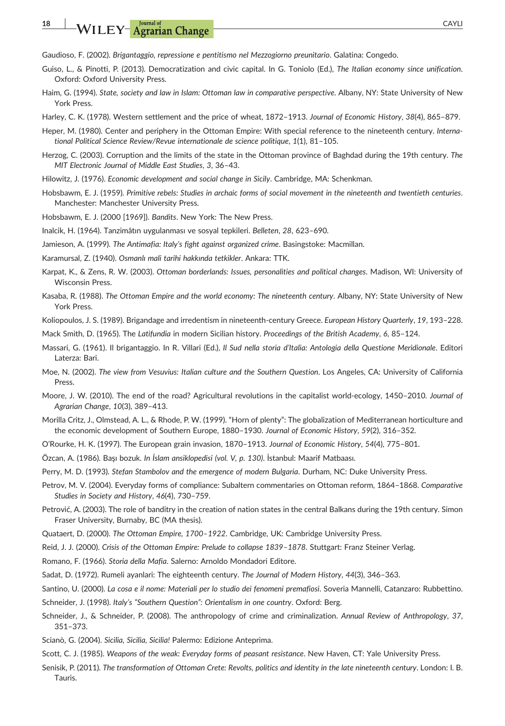Gaudioso, F. (2002). Brigantaggio, repressione e pentitismo nel Mezzogiorno preunitario. Galatina: Congedo.

- Guiso, L., & Pinotti, P. (2013). Democratization and civic capital. In G. Toniolo (Ed.), The Italian economy since unification. Oxford: Oxford University Press.
- Haim, G. (1994). State, society and law in Islam: Ottoman law in comparative perspective. Albany, NY: State University of New York Press.
- Harley, C. K. (1978). Western settlement and the price of wheat, 1872–1913. Journal of Economic History, 38(4), 865–879.
- Heper, M. (1980). Center and periphery in the Ottoman Empire: With special reference to the nineteenth century. International Political Science Review/Revue internationale de science politique, 1(1), 81–105.
- Herzog, C. (2003). Corruption and the limits of the state in the Ottoman province of Baghdad during the 19th century. The MIT Electronic Journal of Middle East Studies, 3, 36–43.
- Hilowitz, J. (1976). Economic development and social change in Sicily. Cambridge, MA: Schenkman.
- Hobsbawm, E. J. (1959). Primitive rebels: Studies in archaic forms of social movement in the nineteenth and twentieth centuries. Manchester: Manchester University Press.
- Hobsbawm, E. J. (2000 [1969]). Bandits. New York: The New Press.
- Inalcik, H. (1964). Tanzimâtın uygulanması ve sosyal tepkileri. Belleten, 28, 623–690.
- Jamieson, A. (1999). The Antimafia: Italy's fight against organized crime. Basingstoke: Macmillan.
- Karamursal, Z. (1940). Osmanlı mali tarihi hakkında tetkikler. Ankara: TTK.
- Karpat, K., & Zens, R. W. (2003). Ottoman borderlands: Issues, personalities and political changes. Madison, WI: University of Wisconsin Press.
- Kasaba, R. (1988). The Ottoman Empire and the world economy: The nineteenth century. Albany, NY: State University of New York Press.
- Koliopoulos, J. S. (1989). Brigandage and irredentism in nineteenth-century Greece. European History Quarterly, 19, 193-228.
- Mack Smith, D. (1965). The Latifundia in modern Sicilian history. Proceedings of the British Academy, 6, 85–124.
- Massari, G. (1961). Il brigantaggio. In R. Villari (Ed.), Il Sud nella storia d'Italia: Antologia della Questione Meridionale. Editori Laterza: Bari.
- Moe, N. (2002). The view from Vesuvius: Italian culture and the Southern Question. Los Angeles, CA: University of California Press.
- Moore, J. W. (2010). The end of the road? Agricultural revolutions in the capitalist world‐ecology, 1450–2010. Journal of Agrarian Change, 10(3), 389–413.
- Morilla Critz, J., Olmstead, A. L., & Rhode, P. W. (1999). "Horn of plenty": The globalization of Mediterranean horticulture and the economic development of Southern Europe, 1880–1930. Journal of Economic History, 59(2), 316–352.
- O'Rourke, H. K. (1997). The European grain invasion, 1870–1913. Journal of Economic History, 54(4), 775–801.
- Özcan, A. (1986). Başı bozuk. In İslam ansiklopedisi (vol. V, p. 130). İstanbul: Maarif Matbaası.
- Perry, M. D. (1993). Stefan Stambolov and the emergence of modern Bulgaria. Durham, NC: Duke University Press.
- Petrov, M. V. (2004). Everyday forms of compliance: Subaltern commentaries on Ottoman reform, 1864–1868. Comparative Studies in Society and History, 46(4), 730–759.
- Petrović, A. (2003). The role of banditry in the creation of nation states in the central Balkans during the 19th century. Simon Fraser University, Burnaby, BC (MA thesis).
- Quataert, D. (2000). The Ottoman Empire, 1700–1922. Cambridge, UK: Cambridge University Press.
- Reid, J. J. (2000). Crisis of the Ottoman Empire: Prelude to collapse 1839–1878. Stuttgart: Franz Steiner Verlag.
- Romano, F. (1966). Storia della Mafia. Salerno: Arnoldo Mondadori Editore.
- Sadat, D. (1972). Rumeli ayanlari: The eighteenth century. The Journal of Modern History, 44(3), 346–363.
- Santino, U. (2000). La cosa e il nome: Materiali per lo studio dei fenomeni premafiosi. Soveria Mannelli, Catanzaro: Rubbettino.
- Schneider, J. (1998). Italy's "Southern Question": Orientalism in one country. Oxford: Berg.
- Schneider, J., & Schneider, P. (2008). The anthropology of crime and criminalization. Annual Review of Anthropology, 37, 351–373.
- Scianò, G. (2004). Sicilia, Sicilia, Sicilia! Palermo: Edizione Anteprima.
- Scott, C. J. (1985). Weapons of the weak: Everyday forms of peasant resistance. New Haven, CT: Yale University Press.
- Senisik, P. (2011). The transformation of Ottoman Crete: Revolts, politics and identity in the late nineteenth century. London: I. B. Tauris.